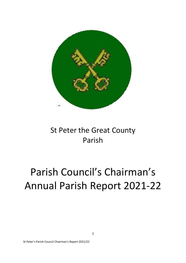

# St Peter the Great County Parish

# Parish Council's Chairman's Annual Parish Report 2021-22

St Peter's Parish Council Chairman's Report 2021/22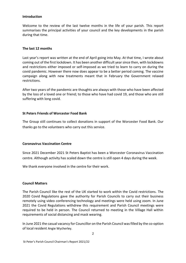# **Introduction**

Welcome to the review of the last twelve months in the life of your parish. This report summarises the principal activities of your council and the key developments in the parish during that time.

### **The last 12 months**

Last year's report was written at the end of April going into May. At that time, I wrote about coming out of the first lockdown. It has been another difficult year since then, with lockdowns and restrictions either imposed or self-imposed as we tried to learn to carry on during the covid pandemic. However there now does appear to be a better period coming. The vaccine campaign along with new treatments meant that in February the Government relaxed restrictions.

After two years of the pandemic are thoughts are always with those who have been affected by the loss of a loved one or friend; to those who have had covid 19, and those who are still suffering with long covid.

# **St Peters Friends of Worcester Food Bank**

The Group still continues to collect donations in support of the Worcester Food Bank. Our thanks go to the volunteers who carry out this service.

# **Coronavirus Vaccination Centre**

Since 2021 December 2021 St Peters Baptist has been a Worcester Coronavirus Vaccination centre. Although activity has scaled down the centre is still open 4 days during the week.

We thank everyone involved in the centre for their work.

# **Council Matters**

The Parish Council like the rest of the UK started to work within the Covid restrictions. The 2020 Covid Regulations gave the authority for Parish Councils to carry out their business remotely using video conferencing technology and meetings were held using zoom. In June 2021 the Covid Regulations withdrew this requirement and Parish Council meetings were required to be held in person. The Council returned to meeting in the Village Hall within requirements of social distancing and mask wearing.

In June 2021 the casual vacancy for Councillor on the Parish Council was filled by the co-option of local resident Angie Wycherley.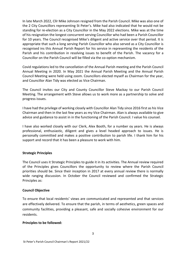In late March 2022, Cllr Mike Johnson resigned from the Parish Council. Mike was also one of the 2 City Councillors representing St Peter's. Mike had also indicated that he would not be standing for re-election as a City Councillor in the May 2022 elections. Mike was at the time of his resignation the longest concurrent serving Councillor who had been a Parish Councillor for 10 years. The Council recognised Mike's diligent and active service over that period. It is appropriate that such a long serving Parish Councillor who also served as a City Councillor is recognised ins this Annual Parish Report for his service in representing the residents of the Parish and his contribution in resolving issues to benefit of the Parish. The vacancy for a Councillor on the Parish Council will be filled via the co-option mechanism.

Covid regulations led to the cancellation of the Annual Parish meeting and the Parish Council Annual Meeting in 2020. In May 2021 the Annual Parish Meeting and the Annual Parish Council Meeting were held using zoom. Councillors elected myself as Chairman for the year, and Councillor Alan Tidy was elected as Vice Chairman.

The Council invites our City and County Councillor Steve Mackay to our Parish Council Meeting. The arrangement with Steve allows us to work more as a partnership to solve and progress issues.

I have had the privilege of working closely with Councillor Alan Tidy since 2016 first as his Vice Chairman and then in the last few years as my Vice Chairman. Alan is always available to give advice and guidance to assist in in the functioning of the Parish Council. I value his counsel.

I have also worked closely with our Clerk, Alex Booth, for a number oy years. He is always professional, enthusiastic, diligent and gives a level headed approach to issues. He is personally committed and makes a positive contribution to parish life. I thank him for his support and record that it has been a pleasure to work with him.

# **Strategic Principles**

The Council uses it Strategic Principles to guide it in its activities. The Annual review required of the Principles gives Councillors the opportunity to review where the Parish Council priorities should be. Since their inception in 2017 at every annual review there is normally wide ranging discussion. In October the Council reviewed and confirmed the Strategic Principles as:

# **Council Objective**

To ensure that local residents' views are communicated and represented and that services are effectively delivered. To ensure that the parish, in terms of aesthetics, green spaces and community facilities, providing a pleasant, safe and socially cohesive environment for our residents.

# **Principles to be followed:**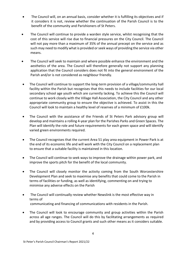- The Council will, on an annual basis, consider whether it is fulfilling its objectives and if it considers it is not, review whether the continuation of the Parish Council is to the benefit of the community and Parishioners of St Peters.
- The Council will continue to provide a warden style service, whilst recognising that the cost of this service will rise due to financial pressures on the City Council. The Council will not pay more than a maximum of 35% of the annual precept on the service and as such may need to modify what is provided or seek ways of providing the service via other means.
- The Council will seek to maintain and where possible enhance the environment and the aesthetics of the area. The Council will therefore generally not support any planning application that the Council considers does not fit into the general environment of the Parish and/or is not considered as neighbour friendly.
- The Council will continue to support the long-term provision of a village/community hall facility within the Parish but recognises that this needs to include facilities for our local secondary school age youth which are currently lacking. To achieve this the Council will continue to work closely with the Village Hall Association, the City Council and any other appropriate community group to ensure the objective is achieved. To assist in this the Council will look to maintain a healthy level of reserves of a minimum of £100k.
- The Council with the assistance of the Friends of St Peters Park advisory group will develop and maintains a rolling 4-year plan for the Parishes Parks and Green Spaces. The Plan will identify the role and future requirements for each green space and will identify varied green environments required.
- The Council recognises that the current Area 51 play area equipment in Power Park is at the end of its economic life and will work with the City Council on a replacement plan to ensure that a suitable facility is maintained in this location.
- The Council will continue to seek ways to improve the drainage within power park, and improve the sports pitch for the benefit of the local community.
- The Council will closely monitor the activity coming from the South Worcestershire Development Plan and seek to maximise any benefits that could come to the Parish in terms of facilities or funding, as well as identifying, commenting on and trying to minimise any adverse effects on the Parish
- The Council will continually review whether Newslink is the most effective way in terms of communicating and financing of communications with residents in the Parish.
- The Council will look to encourage community and group activities within the Parish across all age ranges. The Council will do this by facilitating arrangements as required and by providing access to Council grants and such other means as it considers suitable.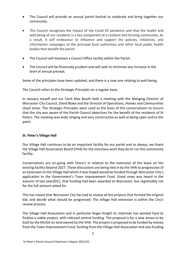- The Council will provide an annual parish festival to celebrate and bring together our community.
- The Council recognises the impact of the Covid-19 pandemic and that the health and well-being of our residents is a key component of a resilient and thriving community. As a result, it will endeavour to influence and support the policies, initiatives, and information campaigns of the principal local authorities and other local public health bodies that benefit the parish
- The Council will maintain a Council Office facility within the Parish.
- The Council will be financially prudent and will seek to minimise any increase in the level of annual precept.

Some of the principles have been updated, and there is a new one relating to well-being.

The Council refers to the Strategic Principles on a regular basis.

In January myself and our Clerk Alex Booth held a meeting with the Manging Director of Worcester City Council, David Blake and the Director of Operations, Homes and Communities Lloyd Jones. The Strategic Principles were used as the basis of the conversations to ensure that the city was aware of the Parish Council objectives for the benefit of the residents of St Peters. The meeting was wide ranging and very constructive as well as being open and to the point.

# **St. Peter's Village Hall**

Our Village Hall continues to be an important facility for our parish and as always, we thank the Village Hall Association Board (VHA) for the voluntary work they do to run this community facility.

Conversations are on-going with Tesco's in relation to the extension of the lease on the existing facility beyond 2027. These discussions are being tied in by the VHA to progression of an extension to the Village Hall which it was hoped would be funded through Worcester City's application to the Government's Town Improvement Fund. Good news was heard in the autumn of last year2021, that funding had been awarded to Worcester, but regrettably not for the full amount asked for.

This has meant that Worcester City has had to review all the projects that formed the original bid, and decide what should be progressed. The Village Hall extension is within the City's review process.

The Village Hall Association and in particular Roger Knight its chairman has worked hard to finalise a viable project, with reduced central funding. The proposal is for a new annex to be built by the MUGA on land owned by the VHA. The project is proposed to be funded by money from the Town Improvement Fund, funding from the Village Hall Association and also funding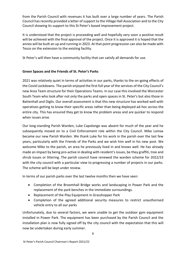from the Parish Council with revenues it has built over a large number of years. The Parish Council has recently provided a letter of support to the Village Hall Association and to the City Council showing its support to this St Peter's based improvement project.

It is understood that the project is proceeding well and hopefully very soon a positive result will be achieved with the final approval of the project. Once it is approved it is hoped that the annex will be built an up and running in 2023. At that point progression can also be made with Tesco on the extension to the existing facility.

St Peter's will then have a community facility that can satisfy all demands for use.

# **Green Spaces and the Friends of St. Peter's Parks**

2021 was relatively quiet in terms of activities in our parks, thanks to the on-going effects of the Covid Lockdowns. The parish enjoyed the first full year of the services of the City Council's new Area Team structure for their Operations Teams. In our case this involved the Worcester South Team who look after not only the parks and open spaces in St. Peter's but also those in Battenhall and Diglis. Our overall assessment is that this new structure has worked well with operatives getting to know their specific areas rather than being deployed ad-hoc across the entire city. This has ensured they get to know the problem areas and are quicker to respond when issues arise.

Our long-standing Parish Warden, Luke Capolongo was absent for much of the year and he subsequently moved on to a Civil Enforcement role within the City Council. Mike Lomax became our new Parish Warden. We thank Luke for his work in the parish over the last few years, particularly with the Friends of the Parks and we wish him well in his new post. We welcome Mike to the parish, an area he previously lived in and knows well. He has already made an impact by being pro-active in dealing with resident's issues, be they graffiti, tree and shrub issues or littering. The parish council have renewed the warden scheme for 2022/23 with the city council with a particular view to progressing a number of projects in our parks. The scheme will be kept under review.

In terms of our parish parks over the last twelve months then we have seen:

- Completion of the Broomhall Bridge works and landscaping in Power Park and the replacement of the park benches in the immediate surroundings.
- Replacement of the Play Equipment in Grasshopper Park
- Completion of the agreed additional security measures to restrict unauthorised vehicle entry to all our parks

Unfortunately, due to several factors, we were unable to get the outdoor gym equipment installed in Power Park. The equipment has been purchased by the Parish Council and the installation plan is now fully signed off by the city council with the expectation that this will now be undertaken during early summer.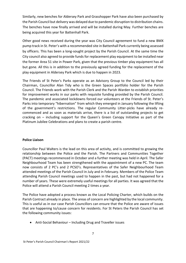Similarly, new benches for Aldersey Park and Grasshopper Park have also been purchased by the Parish Council but delivery was delayed due to pandemic disruption to distribution chains. The benches have now finally arrived and will be installed during May. Further benches are being acquired this year for Battenhall Park.

Other good news received during the year was City Council agreement to fund a new BMX pump track in St. Peter's with a recommended site in Battenhall Park currently being assessed by officers. This has been a long-sought project by the Parish Council. At the same time the City council also agreed to provide funds for replacement play equipment to be installed near the former Area 51 site in Power Park, given that the previous timber play equipment has all but gone. All this is in addition to the previously agreed funding for the replacement of the play equipment in Aldersey Park which is due to happen in 2023.

The Friends of St Peter's Parks operate as an Advisory Group to the Council led by their Chairman, Councillor Alan Tidy who is the Green Spaces portfolio holder for the Parish Council. The Friends work with the Parish Clerk and the Parish Warden to establish priorities for improvement works in our parks with requisite funding provided by the Parish Council. The pandemic and associated lockdowns forced our volunteers at the Friends of St. Peter's Parks into temporary "hibernation" from which they emerged in January following the lifting of the government's restrictions. The regular Community Litter-picks have already recommenced and as soon as materials arrive, there is a list of outstanding projects to get cracking on – including support for the Queen's Green Canopy Initiative as part of the Platinum Jubilee Celebrations and plans to create a parish centre.

# **Police Liaison**

Councillor Paul Walters is the lead on this area of activity, and is committed to growing the relationship between the Police and the Parish. The Partners and Communities Together (PACT) meetings recommenced in October and a further meeting was held in April. The Safer Neighbourhood Team has been strengthened with the appointment of a new PC. The team now consists of 2 PC's and 2 PCSO's. Representatives of the Safer Neighbourhood Team attended meetings of the Parish Council in July and in February. Members of the Police Team attending Parish Council meetings used to happen in the past, but had not happened for a number of years. These were extremely useful meetings for all parties. It was agreed that the Police will attend a Parish Council meeting 2 times a year.

The Police have adopted a process known as the Local Policing Charter, which builds on the Parish Contract already in place. The areas of concern are highlighted by the local community. This is useful as in our case Parish Councillors can ensure that the Police are aware of issues that are happening to/cause concern for residents. For St Peters the Parish Council has set the following community issues:

• Anti-Social Behaviour – Including Drug and Traveller issues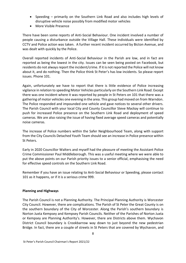- Speeding primarily on the Southern Link Road and also includes high levels of disruptive vehicle noise possibly from modified motor vehicles
- More Visible Presence

There have been some reports of Anti-Social Behaviour. One incident involved a number of people causing a disturbance outside the Village Hall. These individuals were identified by CCTV and Police action was taken. A further recent incident occurred by Bicton Avenue, and was dealt with quickly by the Police.

Overall reported incidents of Anti-Social Behaviour in the Parish are low, and in fact are reported as being the lowest in the city. Issues can be seen being posted on Facebook, but residents do not always report the incident/crime. If it is not reported the Police will not know about it, and do nothing. Then the Police think St Peter's has low incidents. So please report issues. Phone 101.

Again, unfortunately we have to report that there is little evidence of Police increasing vigilance in relation to speeding Motor Vehicles particularly on the Southern Link Road. Except there was one incident where it was reported by people in St Peters on 101 that there was a gathering of motor vehicles one evening in the area. This group had moved on from Warndon. The Police responded and impounded one vehicle and gave notices to several other drivers. The Parish Council with your local City and County Councillor Steve Mackay will continue to push for increased Police presence on the Southern Link Road and deployment of speed cameras. We are also raising the issue of having fixed average speed cameras and potentially noise cameras.

The increase of Police numbers within the Safer Neighbourhood Team, along with support from the City Councils Detached Youth Team should see an increase in Police presence within St Peters.

Early in 2020 Councillor Walters and myself had the pleasure of meeting the Assistant Police Crime Commissioner Paul Middleborough. This was a useful meeting where we were able to put the above points on our Parish priority issues to a senior official, emphasising the need for effective speed controls on the Southern Link Road.

Remember if you have an issue relating to Anti-Social Behaviour or Speeding, please contact 101 as it happens, or if it is a serious crime 999.

# **Planning and Highways**

The Parish Council is not a Planning Authority. The Principal Planning Authority is Worcester City Council. However, there are complications. The Parish of St Peter the Great County is on the southern boundary of the City of Worcester. Along the Parish's southern boundary is Norton Juxta Kempsey and Kempsey Parish Councils. Neither of the Parishes of Norton Juxta or Kempsey are Planning Authority's. However, there are Districts above them. Wychavon District Council boundary is Crookbarrow way down to just beyond the new pedestrian Bridge. In fact, there are a couple of streets in St Peters that are covered by Wychavon, and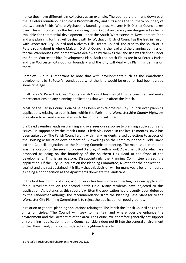hence they have different bin collectors as an example. The boundary then runs down past the St Peters roundabout and cross Broomhall Way and cuts along the southern boundary of the two Ketch Fields. Where Wychavon's Boundary ends, Malvern Hills District Council takes over. This is important as the fields running down Crookbarrow way are designated as being available for commercial development under the South Worcestershire Development Plan and any planning for that will be dealt with by Wychavon District Council as the lead in liaison with Worcester City Council and Malvern Hills District Council, the area to the south of St Peters roundabout is where Malvern District Council is the lead and the planning permission for the Warehouse Development weas dealt with by them as the land use was defined under the South Worcestershire Development Plan. Both the Ketch Fields are in St Peter's Parish and the Worcester City Council boundary and the City will deal with Planning permission there.

Complex. But it is important to note that with developments such as the Warehouse development by St Peter's roundabout, what the land would be used for had been agreed some time ago.

In all cases St Peter the Great County Parish Council has the right to be consulted and make representations on any planning applications that would affect the Parish.

Most of the Parish Councils dialogue has been with Worcester City Council over planning applications relating to submissions within the Parish and Worcestershire County Highways in relation to all works associated with the Southern Link Road.

Cllr David Saunders leads on planning and oversees our response to planning applications and issues. He supported by the Parish Council Clerk Alex Booth. In the last 12 months David has been quite busy. The Parish Council along with many residents raised objections to aspects of the Housing Association development of 92 dwellings on the Ketch roundabout Field. David led the Councils objections at the Planning Committee meeting. The main issue in the end was the location of the seven proposed 3 storey (4 with a roof) Apartment Blocks which are proposed as being on the boundary of the Southern Link Road at the front of the development. This is an eyesore. Disappointingly the Planning Committee agreed the application. Of the City Councillors on the Planning Committee, 4 voted for the application, I against and the rest abstained. It is likely that this decision will for many years be remembered as being a poor decision as the Apartments dominate the landscape.

In the first few months of 2022, a lot of work has been done in objecting to a new application for a Travellers site on the second Ketch Field. Many residents have objected to this application. As it stands as this report is written the application had presently been deferred by the Landowner although the recommendation from the Planning Case Manager to the Worcester City Planning Committee is to reject the application on good grounds.

In relation to general planning applications relating to The Parish the Parish Council has as one of its principles: 'The Council will seek to maintain and where possible enhance the environment and the aesthetics of the area. The Council will therefore generally not support any planning application that the Council considers does not fit into the general environment of the Parish and/or is not considered as neighbour friendly'.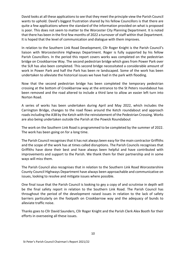David looks at all these applications to see that they meet the principle view the Parish Council wants to uphold. David's biggest frustration shared by his fellow Councillors is that there are quite a few applications where the standard of the information provided on what is proposed is poor. This does not seem to matter to the Worcester City Planning Department. It is noted that there has been in the first few months of 2022 a turnover of staff within that Department. It is hoped that the level of communication and dialogue with them improves.

In relation to the Southern Link Road Development, Cllr Roger Knight is the Parish Council's liaison with Worcestershire Highways Department. Roger is fully supported by his fellow Parish Councillors. In the period this report covers works was completed on the pedestrian bridge on Crookbarrow Way. The second pedestrian bridge which goes from Power Park over the SLR has also been completed. This second bridge necessitated a considerable amount of work in Power Park and half the Park has been re landscaped. Some of the work has been undertaken to alleviate the historical issues we have had in the park with flooding.

Now that the second pedestrian bridge has been completed the temporary pedestrian crossing at the bottom of Crookbarrow way at the entrance to the St Peters roundabout has been removed and the road altered to include a third lane to allow an easier left turn into Norton Road.

A series of works has been undertaken during April and May 2022, which includes the Carrington Bridge, changes to the road flows around the Ketch roundabout and approach roads including the A38 by the Ketch with the reinstatement of the Pedestrian Crossing. Works are also being undertaken outside the Parish at the Powick Roundabout

The work on the Southern Link Road is programmed to be completed by the summer of 2022. The work has been going on for a long time.

The Parish Council recognises that it has not always been easy for the main contractor Griffiths and the scope of the work has at times called disruptions. The Parish Councils recognises that Griffiths have done their best and have always been helpful and have contributed with improvements and support to the Parish. We thank them for their partnership and in some ways will miss them.

The Parish Council also recognises that in relation to the Southern Link Road Worcestershire County Council Highways Department have always been approachable and communicative on issues, looking to resolve and mitigate issues where possible.

One final issue that the Parish Council is looking to gey a copy of and scrutinise in depth will be the final safety report in relation to the Southern Link Road. The Parish Council has throughout the period of the development raised issues in relation to the lack of safety barriers particularly on the footpath on Crookbarrow way and the adequacy of bunds to alleviate traffic noise.

Thanks goes to Cllr David Saunders, Cllr Roger Knight and the Parish Clerk Alex Booth for their efforts in overseeing all these issues.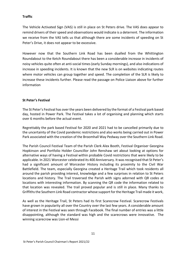# **Traffic**

The Vehicle Activated Sign (VAS) is still in place on St Peters drive. The VAS does appear to remind drivers of their speed and observations would indicate is a deterrent. The information we receive from the VAS tells us that although there are some incidents of speeding on St Peter's Drive, it does not appear to be excessive.

However now that the Southern Link Road has been dualled from the Whittington Roundabout to the Ketch Roundabout there has been a considerable increase in incidents of noisy vehicles quite often at anti-social times (early Sunday mornings), and also indications of increase in speeding incidents. It is known that the new SLR is on websites indicating routes where motor vehicles can group together and speed. The completion of the SLR is likely to increase these incidents further. Please read the passage on Police Liaison above for further information

# **St Peter's Festival**

The St Peter's Festival has over the years been delivered by the format of a Festival park based day, hosted in Power Park. The Festival takes a lot of organising and planning which starts over 6 months before the actual event.

Regrettably the park based Festival for 2020 and 2021 had to be cancelled primarily due to the uncertainty of the Covid pandemic restrictions and also works being carried out in Power Park associated with the creation of the Broomhall Way Pedway over the Southern Link Road.

The Parish Council Festival Team of the Parish Clerk Alex Booth, Festival Organiser Georgina Hopkinson and Portfolio Holder Councillor John Renshaw set about looking at options for alternative ways of having a Festival within probable Covid restrictions that were likely to be applicable. In 2021 Worcester celebrated its 400 Anniversary. It was recognised that St Peter's had a significant amount of Worcester History including its proximity to the Civil War Battlefield. The team, especially Georgina created a Heritage Trail which took residents all around the parish providing interest, knowledge and a few surprises in relation to St Peters locations and history. The Trail traversed the Parish with signs adorned with QR codes at locations with interesting information. By scanning the QR code the information related to that location was revealed. The trail proved popular and is still in place. Many thanks to Griffiths the Southern Link Road contractor whose support for the Heritage Trail made it work,

As well as the Heritage Trail, St Peters had its first Scarecrow Festival. Scarecrow Festivals have grown in popularity all over the Country over the last few years. A considerable amount of interest in the Festival was seen through Facebook. The final number of entries was a little disappointing, although the standard was high and the scarecrows were innovative. The winning scarecrow was Lion-el Messi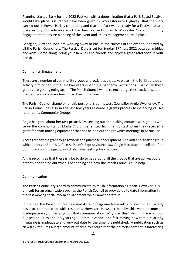Planning started Early for the 2022 Festival, with a determination that a Park Based Festival would take place. Assurances have been given by Worcestershire Highways that the work carried out in Power Park is completed and that the Park will be ready for a Festival to take place in July. Considerable work has been carried out with Worcester City's Community Engagement to ensure planning of the event and issues management are in place.

Georgina, Alex and John are working away to ensure the success of the event supported by all the Parish Councillors. The Festival Date is set for Sunday  $17<sup>th</sup>$  July 2022 between midday and 4pm. Come along, bring your families and friends and enjoy a great afternoon in your parish.

# **Community Engagement**

There are a number of community groups and activities that take place in the Parish, although activity diminished in the last two years due to the pandemic restrictions. Thankfully these groups are getting going again. The Parish Council wants to encourage these activities, but in the past has not always been proactive in that aim.

The Parish Council champion of this portfolio is our newest Councillor Angie Wycherley. The Parish Council has also in the last few years restored a grants process to deserving causes required by Community Groups.

Angie has gone about her task proactively, seeking out and making contacts with groups who serve the community. St Marks Church benefitted from her contact when they received a grant for chair moving equipment that has helped out the Brownies meetings in particular.

Acorns received a grant to go towards the purchase of equipment. The Knit and Knatter group which meets at Eden's Cafe in St Peter's Baptist Church saw Angie introduce herself and find out more about the group which includes knitting for charities.

Angie recognises that there is a lot to do to get around all the groups that are active, but is determined to find out what is happening and how the Parish Council could help.

# **Communication**

The Parish Council try's hard to communicate as mush information as it can. However, it is difficult for an organisation such as the Parish Council to provide up to date information in the fast moving social media environment we all now operate in.

In the past the Parish Council has used its own magazine Newslink published on a quarterly basis to communicate with residents. However, Newslink had by this year become an inadequate way of carrying out that communication. Why was this? Newslink was a good publication up to about 5 years ago. Communication is so fast moving now that a quarterly magazine is inadequate and very out date by the time it is published. A publication such as Newslink requires a large amount of time to ensure that the editorial content is interesting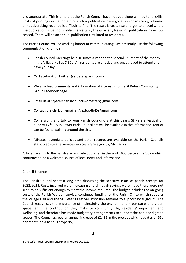and appropriate. This is time that the Parish Council have not got, along with editorial skills. Costs of printing circulation etc of such a publication have gone up considerably, whereas print advertising revenue is difficult to find. The result is costs rise and get to a level where the publication is just not viable. Regrettably the quarterly Newslink publications have now ceased. There will be an annual publication circulated to residents.

The Parish Council will be working harder at communicating. We presently use the following communication channels:

- Parish Council Meetings held 10 times a year on the second Thursday of the month in the Village Hall at 7.30p. All residents are entitled and encouraged to attend and have your say.
- On Facebook or Twitter @stpetersparishcouncil
- We also feed comments and information of interest into the St Peters Community Group Facebook page
- Email us at stpetersparishcouncilworcester@gmail.com
- Contact the clerk on email at Alexbooth45@gmail.com
- Come along and talk to your Parish Councillors at this year's St Peters Festival on Sunday 17<sup>th</sup> July in Power Park. Councillors will be available in the Information Tent or can be found walking around the site.
- Minutes, agenda's, policies and other records are available on the Parish Councils static website at e-services.worcestershire.gov.uk/My Parish

Articles relating to the parish are regularly published in the South Worcestershire Voice which continues to be a welcome source of local news and information.

# **Council Finance**

The Parish Council spent a long time discussing the sensitive issue of parish precept for 2022/2023. Costs incurred were increasing and although savings were made these were not seen to be sufficient enough to meet the income required. The budget includes the on-going costs of the Parish Warden service, continued funding for the Parish Office which supports the Village Hall and the St. Peter's Festival. Provision remains to support local groups. The Council recognises the importance of maintaining the environment in our parks and green spaces and the contribution they make to community life, residents' enjoyment and wellbeing, and therefore has made budgetary arrangements to support the parks and green spaces. The Council agreed an annual increase of £1432 in the precept which equates or 65p per month on a band D property,